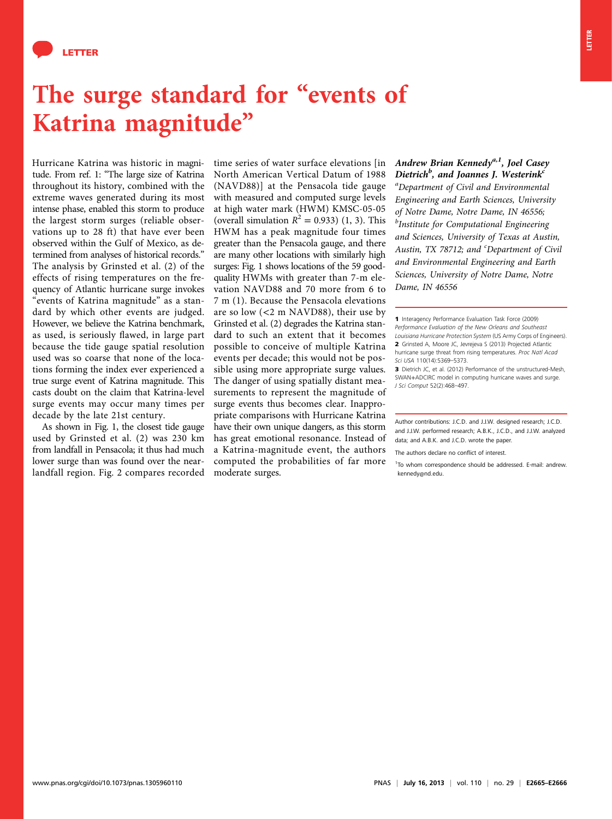

## The surge standard for "events of Katrina magnitude"

Hurricane Katrina was historic in magnitude. From ref. 1: "The large size of Katrina throughout its history, combined with the extreme waves generated during its most intense phase, enabled this storm to produce the largest storm surges (reliable observations up to 28 ft) that have ever been observed within the Gulf of Mexico, as determined from analyses of historical records." The analysis by Grinsted et al. (2) of the effects of rising temperatures on the frequency of Atlantic hurricane surge invokes "events of Katrina magnitude" as a standard by which other events are judged. However, we believe the Katrina benchmark, as used, is seriously flawed, in large part because the tide gauge spatial resolution used was so coarse that none of the locations forming the index ever experienced a true surge event of Katrina magnitude. This casts doubt on the claim that Katrina-level surge events may occur many times per decade by the late 21st century.

As shown in Fig. 1, the closest tide gauge used by Grinsted et al. (2) was 230 km from landfall in Pensacola; it thus had much lower surge than was found over the nearlandfall region. Fig. 2 compares recorded

time series of water surface elevations [in North American Vertical Datum of 1988 (NAVD88)] at the Pensacola tide gauge with measured and computed surge levels at high water mark (HWM) KMSC-05-05 (overall simulation  $R^2 = 0.933$ ) (1, 3). This HWM has a peak magnitude four times greater than the Pensacola gauge, and there are many other locations with similarly high surges: Fig. 1 shows locations of the 59 goodquality HWMs with greater than 7-m elevation NAVD88 and 70 more from 6 to 7 m (1). Because the Pensacola elevations are so low (<2 m NAVD88), their use by Grinsted et al. (2) degrades the Katrina standard to such an extent that it becomes possible to conceive of multiple Katrina events per decade; this would not be possible using more appropriate surge values. The danger of using spatially distant measurements to represent the magnitude of surge events thus becomes clear. Inappropriate comparisons with Hurricane Katrina have their own unique dangers, as this storm has great emotional resonance. Instead of a Katrina-magnitude event, the authors computed the probabilities of far more moderate surges.

Andrew Brian Kennedy<sup>a, 1</sup>, Joel Casey  $Dietrich<sup>b</sup>$ , and Joannes J. Westerink<sup>c</sup> a Department of Civil and Environmental Engineering and Earth Sciences, University of Notre Dame, Notre Dame, IN 46556; <sup>b</sup>Institute for Computational Engineering and Sciences, University of Texas at Austin, Austin, TX 78712; and <sup>c</sup>Department of Civil and Environmental Engineering and Earth Sciences, University of Notre Dame, Notre Dame, IN 46556

3 Dietrich JC, et al. (2012) Performance of the unstructured-Mesh, SWAN+ADCIRC model in computing hurricane waves and surge. J Sci Comput 52(2):468–497.

The authors declare no conflict of interest.

<sup>1</sup> Interagency Performance Evaluation Task Force (2009) Performance Evaluation of the New Orleans and Southeast Louisiana Hurricane Protection System (US Army Corps of Engineers). 2 Grinsted A, Moore JC, Jevrejeva S (2013) Projected Atlantic hurricane surge threat from rising temperatures. Proc Natl Acad Sci USA 110(14):5369–5373.

Author contributions: J.C.D. and J.J.W. designed research; J.C.D. and J.J.W. performed research; A.B.K., J.C.D., and J.J.W. analyzed data; and A.B.K. and J.C.D. wrote the paper.

<sup>&</sup>lt;sup>1</sup>To whom correspondence should be addressed. E-mail: [andrew.](mailto:andrew.kennedy@nd.edu) [kennedy@nd.edu.](mailto:andrew.kennedy@nd.edu)